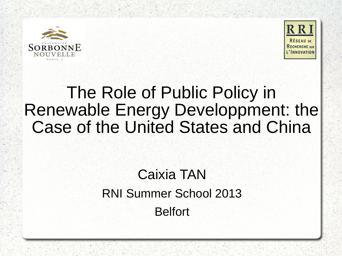



# The Role of Public Policy in Renewable Energy Developpment: the Case of the United States and China

## Caixia TAN RNI Summer School 2013 Belfort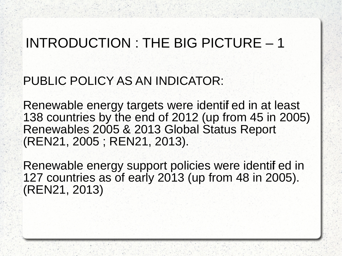### INTRODUCTION : THE BIG PICTURE – 1

### PUBLIC POLICY AS AN INDICATOR:

Renewable energy targets were identified in at least 138 countries by the end of 2012 (up from 45 in 2005) Renewables 2005 & 2013 Global Status Report (REN21, 2005 ; REN21, 2013).

Renewable energy support policies were identified in 127 countries as of early 2013 (up from 48 in 2005). (REN21, 2013)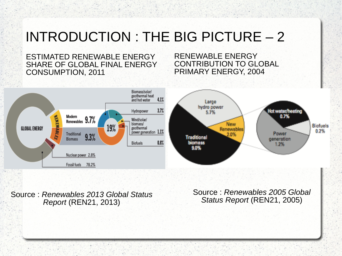### INTRODUCTION : THE BIG PICTURE – 2

ESTIMATED RENEWABLE ENERGY SHARE OF GLOBAL FINAL ENERGY CONSUMPTION, 2011

RENEWABLE ENERGY CONTRIBUTION TO GLOBAL PRIMARY ENERGY, 2004



Source : Renewables 2013 Global Status Report (REN21, 2013)

Source : Renewables 2005 Global Status Report (REN21, 2005)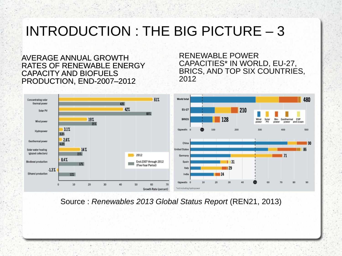### INTRODUCTION : THE BIG PICTURE – 3

AVERAGE ANNUAL GROWTH RATES OF RENEWABLE ENERGY CAPACITY AND BIOFUELS PRODUCTION, END-2007–2012

RENEWABLE POWER CAPACITIES\* IN WORLD, EU-27, BRICS, AND TOP SIX COUNTRIES, 2012



Source : Renewables 2013 Global Status Report (REN21, 2013)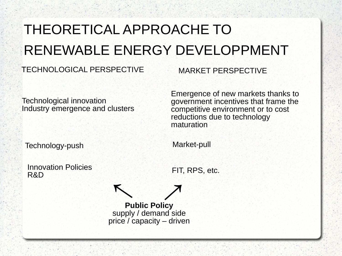# THEORETICAL APPROACHE TO RENEWABLE ENERGY DEVELOPPMENT

#### TECHNOLOGICAL PERSPECTIVE MARKET PERSPECTIVE

Technological innovation Industry emergence and clusters Emergence of new markets thanks to government incentives that frame the competitive environment or to cost reductions due to technology maturation

Technology-push Market-pull

Innovation Policies<br>R&D

FIT, RPS, etc.

**Public Policy** supply / demand side price / capacity – driven  $\lambda$ *↑*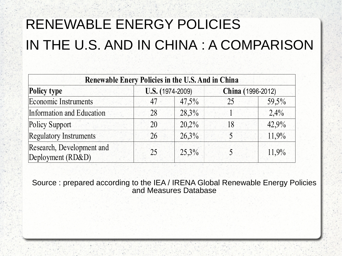# RENEWABLE ENERGY POLICIES IN THE U.S. AND IN CHINA : A COMPARISON

| Renewable Enery Policies in the U.S. And in China |                  |       |                   |       |
|---------------------------------------------------|------------------|-------|-------------------|-------|
| <b>Policy type</b><br><b>Economic Instruments</b> | U.S. (1974-2009) |       | China (1996-2012) |       |
|                                                   | 47               | 47,5% | 25                | 59,5% |
| Information and Education                         | 28               | 28,3% |                   | 2,4%  |
| Policy Support                                    | 20               | 20,2% | 18                | 42,9% |
| <b>Regulatory Instruments</b>                     | 26               | 26,3% |                   | 11,9% |
| Research, Development and<br>Deployment (RD&D)    | 25               | 25,3% |                   | 11,9% |

Source : prepared according to the IEA / IRENA Global Renewable Energy Policies and Measures Database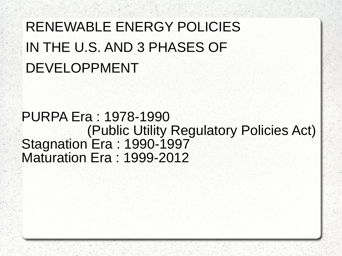# RENEWABLE ENERGY POLICIES IN THE U.S. AND 3 PHASES OF DEVELOPPMENT

### PURPA Era : 1978-1990 (Public Utility Regulatory Policies Act) Stagnation Era: 1990-1997 Maturation Era : 1999-2012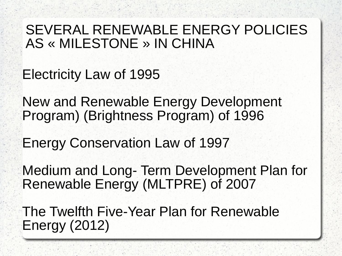### SEVERAL RENEWABLE ENERGY POLICIES AS « MILESTONE » IN CHINA

Electricity Law of 1995

New and Renewable Energy Development Program) (Brightness Program) of 1996

Energy Conservation Law of 1997

Medium and Long- Term Development Plan for Renewable Energy (MLTPRE) of 2007

The Twelfth Five-Year Plan for Renewable Energy (2012)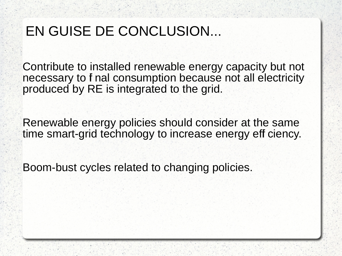### EN GUISE DE CONCLUSION...

Contribute to installed renewable energy capacity but not necessary to f nal consumption because not all electricity produced by RE is integrated to the grid.

Renewable energy policies should consider at the same time smart-grid technology to increase energy eff ciency.

Boom-bust cycles related to changing policies.